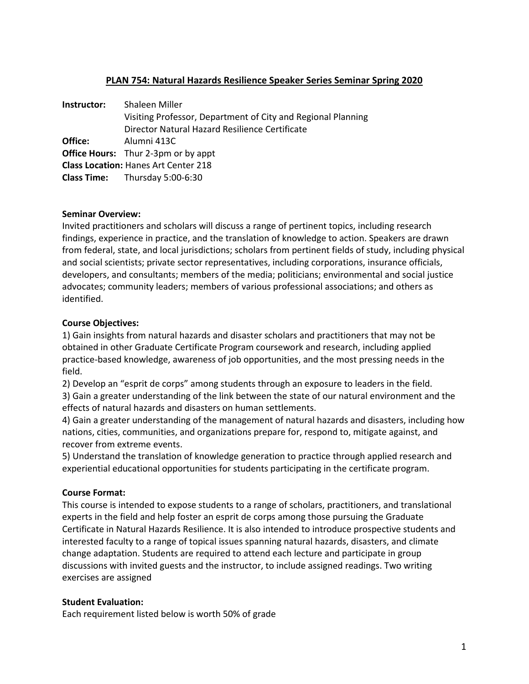# **PLAN 754: Natural Hazards Resilience Speaker Series Seminar Spring 2020**

| Instructor: | Shaleen Miller                                               |
|-------------|--------------------------------------------------------------|
|             | Visiting Professor, Department of City and Regional Planning |
|             | Director Natural Hazard Resilience Certificate               |
| Office:     | Alumni 413C                                                  |
|             | <b>Office Hours:</b> Thur 2-3pm or by appt                   |
|             | <b>Class Location: Hanes Art Center 218</b>                  |
|             | <b>Class Time:</b> Thursday 5:00-6:30                        |

#### **Seminar Overview:**

Invited practitioners and scholars will discuss a range of pertinent topics, including research findings, experience in practice, and the translation of knowledge to action. Speakers are drawn from federal, state, and local jurisdictions; scholars from pertinent fields of study, including physical and social scientists; private sector representatives, including corporations, insurance officials, developers, and consultants; members of the media; politicians; environmental and social justice advocates; community leaders; members of various professional associations; and others as identified.

#### **Course Objectives:**

1) Gain insights from natural hazards and disaster scholars and practitioners that may not be obtained in other Graduate Certificate Program coursework and research, including applied practice-based knowledge, awareness of job opportunities, and the most pressing needs in the field.

2) Develop an "esprit de corps" among students through an exposure to leaders in the field. 3) Gain a greater understanding of the link between the state of our natural environment and the effects of natural hazards and disasters on human settlements.

4) Gain a greater understanding of the management of natural hazards and disasters, including how nations, cities, communities, and organizations prepare for, respond to, mitigate against, and recover from extreme events.

5) Understand the translation of knowledge generation to practice through applied research and experiential educational opportunities for students participating in the certificate program.

#### **Course Format:**

This course is intended to expose students to a range of scholars, practitioners, and translational experts in the field and help foster an esprit de corps among those pursuing the Graduate Certificate in Natural Hazards Resilience. It is also intended to introduce prospective students and interested faculty to a range of topical issues spanning natural hazards, disasters, and climate change adaptation. Students are required to attend each lecture and participate in group discussions with invited guests and the instructor, to include assigned readings. Two writing exercises are assigned

#### **Student Evaluation:**

Each requirement listed below is worth 50% of grade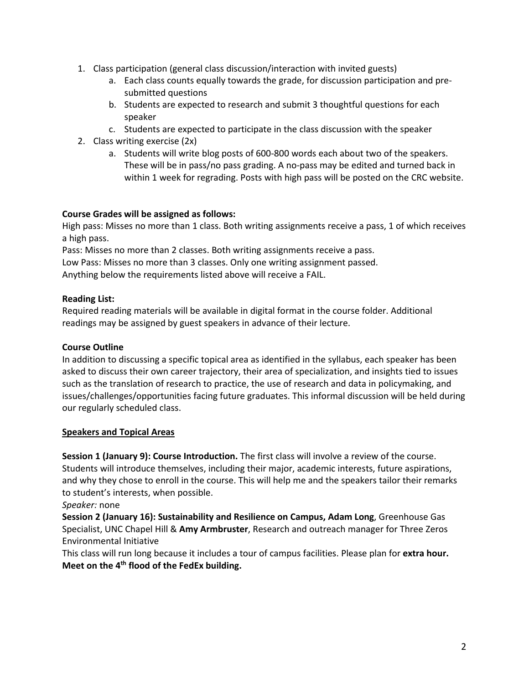- 1. Class participation (general class discussion/interaction with invited guests)
	- a. Each class counts equally towards the grade, for discussion participation and presubmitted questions
	- b. Students are expected to research and submit 3 thoughtful questions for each speaker
	- c. Students are expected to participate in the class discussion with the speaker
- 2. Class writing exercise (2x)
	- a. Students will write blog posts of 600-800 words each about two of the speakers. These will be in pass/no pass grading. A no-pass may be edited and turned back in within 1 week for regrading. Posts with high pass will be posted on the CRC website.

#### **Course Grades will be assigned as follows:**

High pass: Misses no more than 1 class. Both writing assignments receive a pass, 1 of which receives a high pass.

Pass: Misses no more than 2 classes. Both writing assignments receive a pass.

Low Pass: Misses no more than 3 classes. Only one writing assignment passed.

Anything below the requirements listed above will receive a FAIL.

# **Reading List:**

Required reading materials will be available in digital format in the course folder. Additional readings may be assigned by guest speakers in advance of their lecture.

### **Course Outline**

In addition to discussing a specific topical area as identified in the syllabus, each speaker has been asked to discuss their own career trajectory, their area of specialization, and insights tied to issues such as the translation of research to practice, the use of research and data in policymaking, and issues/challenges/opportunities facing future graduates. This informal discussion will be held during our regularly scheduled class.

#### **Speakers and Topical Areas**

**Session 1 (January 9): Course Introduction.** The first class will involve a review of the course. Students will introduce themselves, including their major, academic interests, future aspirations, and why they chose to enroll in the course. This will help me and the speakers tailor their remarks to student's interests, when possible.

*Speaker:* none

**Session 2 (January 16): Sustainability and Resilience on Campus, Adam Long**, Greenhouse Gas Specialist, UNC Chapel Hill & **Amy Armbruster**, Research and outreach manager for Three Zeros Environmental Initiative

This class will run long because it includes a tour of campus facilities. Please plan for **extra hour. Meet on the 4th flood of the FedEx building.**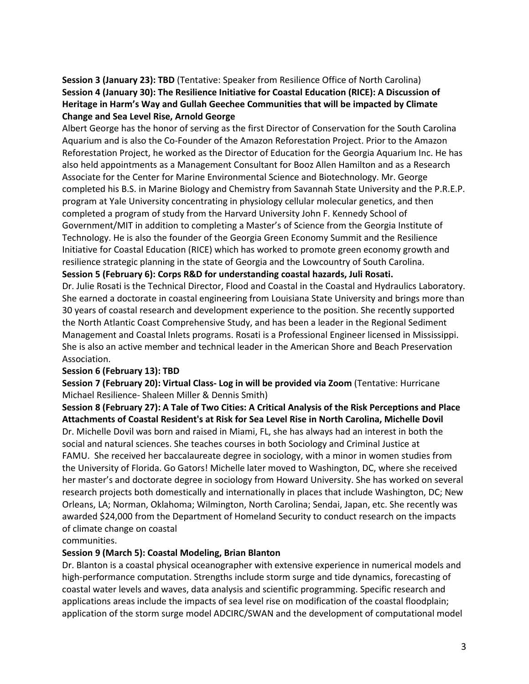# **Session 3 (January 23): TBD** (Tentative: Speaker from Resilience Office of North Carolina) **Session 4 (January 30): The Resilience Initiative for Coastal Education (RICE): A Discussion of Heritage in Harm's Way and Gullah Geechee Communities that will be impacted by Climate Change and Sea Level Rise, Arnold George**

Albert George has the honor of serving as the first Director of Conservation for the South Carolina Aquarium and is also the Co-Founder of the Amazon Reforestation Project. Prior to the Amazon Reforestation Project, he worked as the Director of Education for the Georgia Aquarium Inc. He has also held appointments as a Management Consultant for Booz Allen Hamilton and as a Research Associate for the Center for Marine Environmental Science and Biotechnology. Mr. George completed his B.S. in Marine Biology and Chemistry from Savannah State University and the P.R.E.P. program at Yale University concentrating in physiology cellular molecular genetics, and then completed a program of study from the Harvard University John F. Kennedy School of Government/MIT in addition to completing a Master's of Science from the Georgia Institute of Technology. He is also the founder of the Georgia Green Economy Summit and the Resilience Initiative for Coastal Education (RICE) which has worked to promote green economy growth and resilience strategic planning in the state of Georgia and the Lowcountry of South Carolina. **Session 5 (February 6): Corps R&D for understanding coastal hazards, Juli Rosati.**

Dr. Julie Rosati is the Technical Director, Flood and Coastal in the Coastal and Hydraulics Laboratory. She earned a doctorate in coastal engineering from Louisiana State University and brings more than 30 years of coastal research and development experience to the position. She recently supported the North Atlantic Coast Comprehensive Study, and has been a leader in the Regional Sediment Management and Coastal Inlets programs. Rosati is a Professional Engineer licensed in Mississippi. She is also an active member and technical leader in the American Shore and Beach Preservation Association.

#### **Session 6 (February 13): TBD**

**Session 7 (February 20): Virtual Class- Log in will be provided via Zoom** (Tentative: Hurricane Michael Resilience- Shaleen Miller & Dennis Smith)

**Session 8 (February 27): A Tale of Two Cities: A Critical Analysis of the Risk Perceptions and Place Attachments of Coastal Resident's at Risk for Sea Level Rise in North Carolina, Michelle Dovil** Dr. Michelle Dovil was born and raised in Miami, FL, she has always had an interest in both the social and natural sciences. She teaches courses in both Sociology and Criminal Justice at FAMU. She received her baccalaureate degree in sociology, with a minor in women studies from the University of Florida. Go Gators! Michelle later moved to Washington, DC, where she received her master's and doctorate degree in sociology from Howard University. She has worked on several research projects both domestically and internationally in places that include Washington, DC; New Orleans, LA; Norman, Oklahoma; Wilmington, North Carolina; Sendai, Japan, etc. She recently was awarded \$24,000 from the Department of Homeland Security to conduct research on the impacts of climate change on coastal

communities.

#### **Session 9 (March 5): Coastal Modeling, Brian Blanton**

Dr. Blanton is a coastal physical oceanographer with extensive experience in numerical models and high-performance computation. Strengths include storm surge and tide dynamics, forecasting of coastal water levels and waves, data analysis and scientific programming. Specific research and applications areas include the impacts of sea level rise on modification of the coastal floodplain; application of the storm surge model ADCIRC/SWAN and the development of computational model